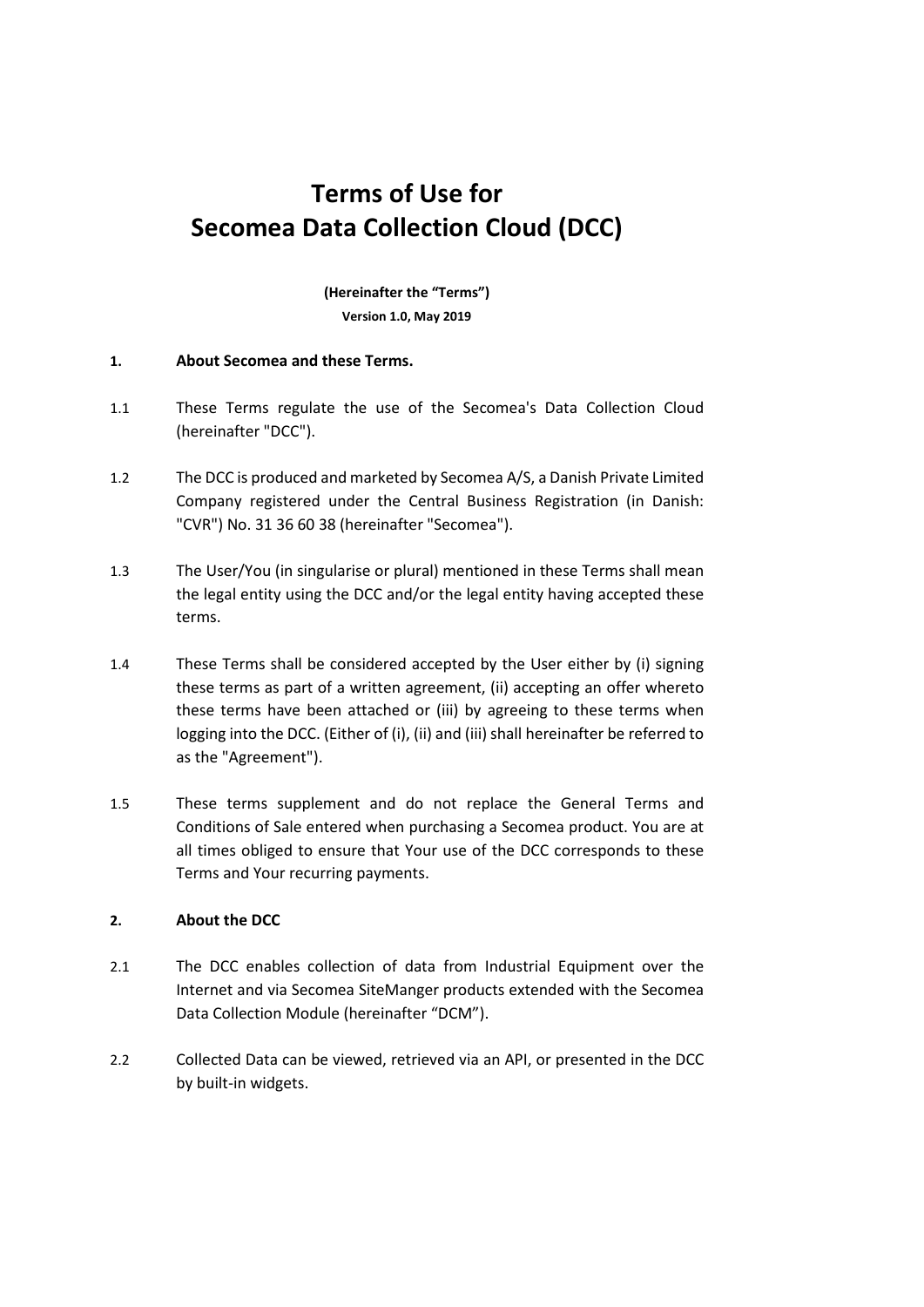# **Terms of Use for Secomea Data Collection Cloud (DCC)**

**(Hereinafter the "Terms") Version 1.0, May 2019**

#### **1. About Secomea and these Terms.**

- 1.1 These Terms regulate the use of the Secomea's Data Collection Cloud (hereinafter "DCC").
- 1.2 The DCC is produced and marketed by Secomea A/S, a Danish Private Limited Company registered under the Central Business Registration (in Danish: "CVR") No. 31 36 60 38 (hereinafter "Secomea").
- 1.3 The User/You (in singularise or plural) mentioned in these Terms shall mean the legal entity using the DCC and/or the legal entity having accepted these terms.
- 1.4 These Terms shall be considered accepted by the User either by (i) signing these terms as part of a written agreement, (ii) accepting an offer whereto these terms have been attached or (iii) by agreeing to these terms when logging into the DCC. (Either of (i), (ii) and (iii) shall hereinafter be referred to as the "Agreement").
- 1.5 These terms supplement and do not replace the General Terms and Conditions of Sale entered when purchasing a Secomea product. You are at all times obliged to ensure that Your use of the DCC corresponds to these Terms and Your recurring payments.

## **2. About the DCC**

- 2.1 The DCC enables collection of data from Industrial Equipment over the Internet and via Secomea SiteManger products extended with the Secomea Data Collection Module (hereinafter "DCM").
- 2.2 Collected Data can be viewed, retrieved via an API, or presented in the DCC by built-in widgets.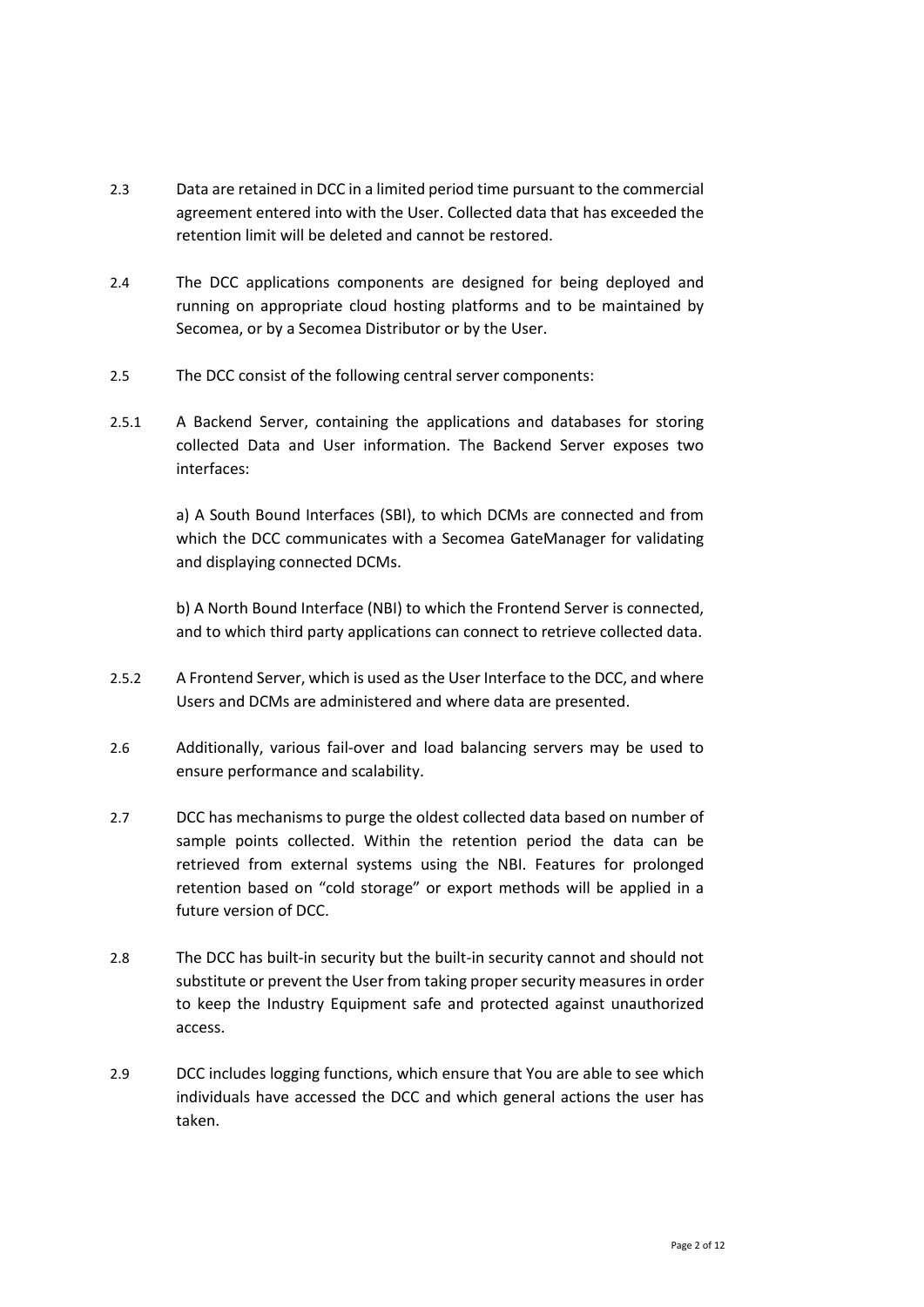- 2.3 Data are retained in DCC in a limited period time pursuant to the commercial agreement entered into with the User. Collected data that has exceeded the retention limit will be deleted and cannot be restored.
- 2.4 The DCC applications components are designed for being deployed and running on appropriate cloud hosting platforms and to be maintained by Secomea, or by a Secomea Distributor or by the User.
- 2.5 The DCC consist of the following central server components:
- 2.5.1 A Backend Server, containing the applications and databases for storing collected Data and User information. The Backend Server exposes two interfaces:

a) A South Bound Interfaces (SBI), to which DCMs are connected and from which the DCC communicates with a Secomea GateManager for validating and displaying connected DCMs.

b) A North Bound Interface (NBI) to which the Frontend Server is connected, and to which third party applications can connect to retrieve collected data.

- 2.5.2 A Frontend Server, which is used as the User Interface to the DCC, and where Users and DCMs are administered and where data are presented.
- 2.6 Additionally, various fail-over and load balancing servers may be used to ensure performance and scalability.
- 2.7 DCC has mechanisms to purge the oldest collected data based on number of sample points collected. Within the retention period the data can be retrieved from external systems using the NBI. Features for prolonged retention based on "cold storage" or export methods will be applied in a future version of DCC.
- 2.8 The DCC has built-in security but the built-in security cannot and should not substitute or prevent the User from taking proper security measures in order to keep the Industry Equipment safe and protected against unauthorized access.
- 2.9 DCC includes logging functions, which ensure that You are able to see which individuals have accessed the DCC and which general actions the user has taken.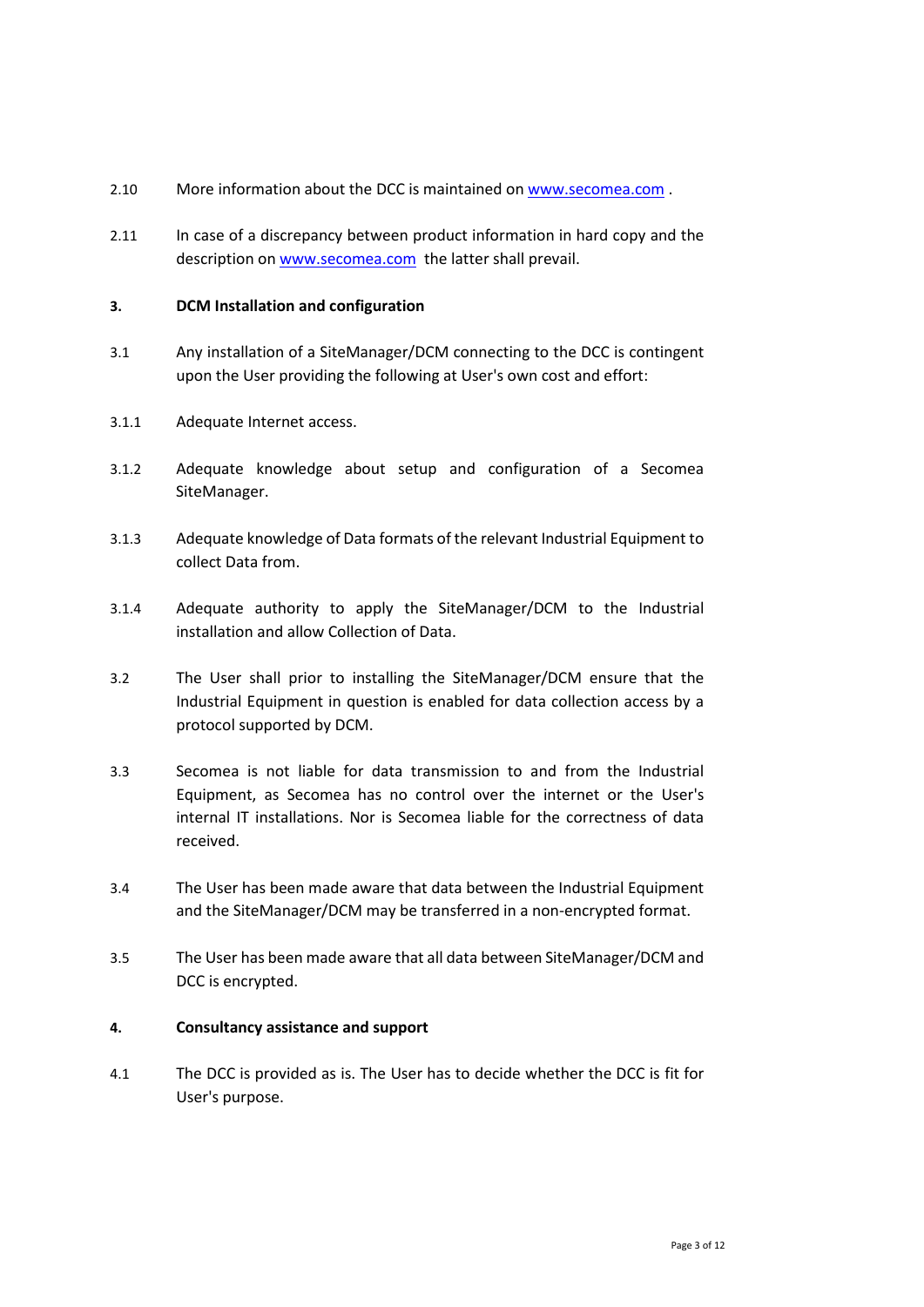- 2.10 More information about the DCC is maintained on [www.secomea.com](http://www.secomea.com/) .
- 2.11 In case of a discrepancy between product information in hard copy and the description on [www.secomea.com](http://www.secomea.com/) the latter shall prevail.

## **3. DCM Installation and configuration**

- 3.1 Any installation of a SiteManager/DCM connecting to the DCC is contingent upon the User providing the following at User's own cost and effort:
- 3.1.1 Adequate Internet access.
- 3.1.2 Adequate knowledge about setup and configuration of a Secomea SiteManager.
- 3.1.3 Adequate knowledge of Data formats of the relevant Industrial Equipment to collect Data from.
- 3.1.4 Adequate authority to apply the SiteManager/DCM to the Industrial installation and allow Collection of Data.
- 3.2 The User shall prior to installing the SiteManager/DCM ensure that the Industrial Equipment in question is enabled for data collection access by a protocol supported by DCM.
- 3.3 Secomea is not liable for data transmission to and from the Industrial Equipment, as Secomea has no control over the internet or the User's internal IT installations. Nor is Secomea liable for the correctness of data received.
- 3.4 The User has been made aware that data between the Industrial Equipment and the SiteManager/DCM may be transferred in a non-encrypted format.
- 3.5 The User has been made aware that all data between SiteManager/DCM and DCC is encrypted.

## **4. Consultancy assistance and support**

4.1 The DCC is provided as is. The User has to decide whether the DCC is fit for User's purpose.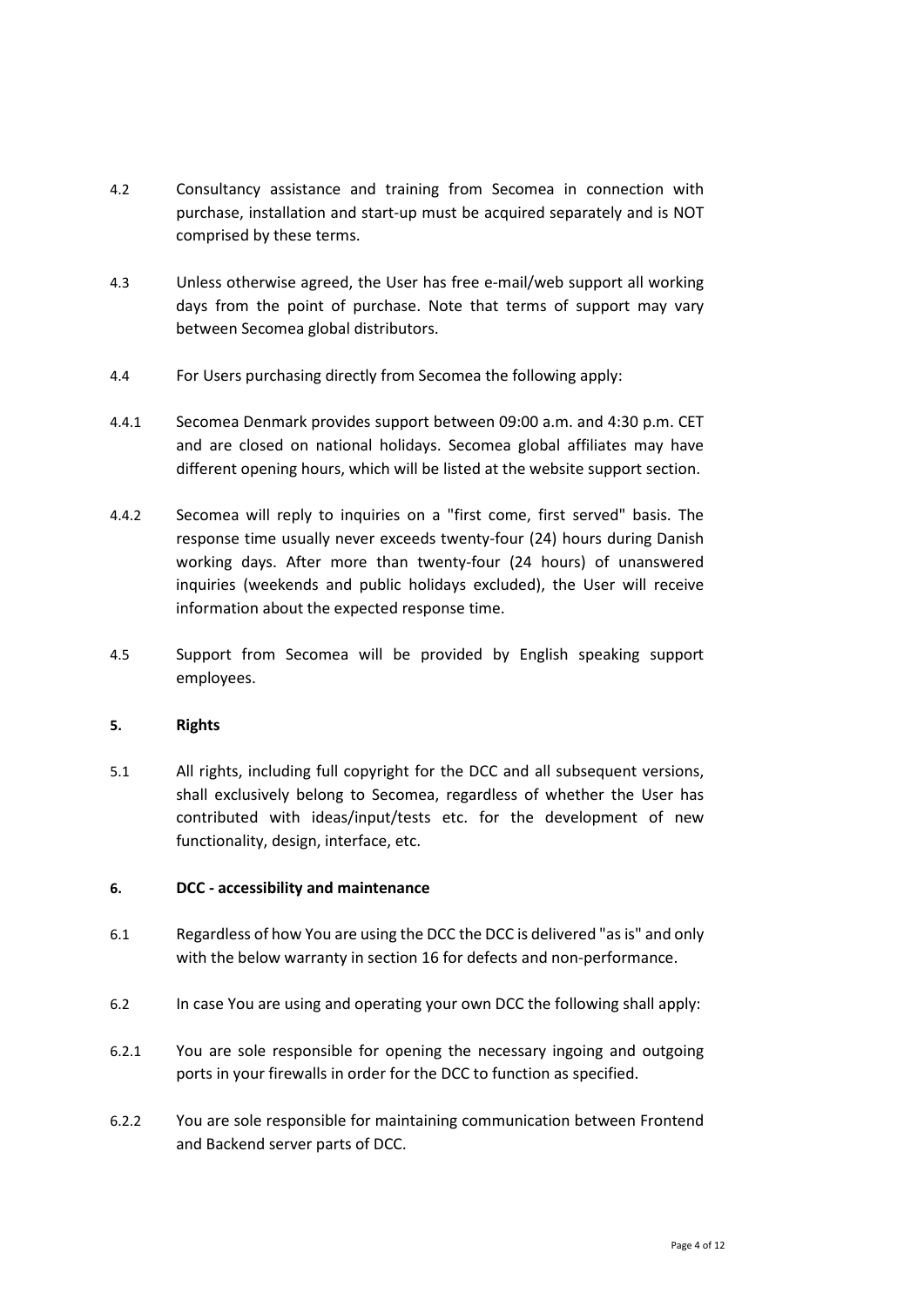- 4.2 Consultancy assistance and training from Secomea in connection with purchase, installation and start-up must be acquired separately and is NOT comprised by these terms.
- 4.3 Unless otherwise agreed, the User has free e-mail/web support all working days from the point of purchase. Note that terms of support may vary between Secomea global distributors.
- 4.4 For Users purchasing directly from Secomea the following apply:
- 4.4.1 Secomea Denmark provides support between 09:00 a.m. and 4:30 p.m. CET and are closed on national holidays. Secomea global affiliates may have different opening hours, which will be listed at the website support section.
- 4.4.2 Secomea will reply to inquiries on a "first come, first served" basis. The response time usually never exceeds twenty-four (24) hours during Danish working days. After more than twenty-four (24 hours) of unanswered inquiries (weekends and public holidays excluded), the User will receive information about the expected response time.
- 4.5 Support from Secomea will be provided by English speaking support employees.

# **5. Rights**

5.1 All rights, including full copyright for the DCC and all subsequent versions, shall exclusively belong to Secomea, regardless of whether the User has contributed with ideas/input/tests etc. for the development of new functionality, design, interface, etc.

## **6. DCC - accessibility and maintenance**

- 6.1 Regardless of how You are using the DCC the DCC is delivered "as is" and only with the below warranty in sectio[n 16](#page-9-0) for defects and non-performance.
- 6.2 In case You are using and operating your own DCC the following shall apply:
- 6.2.1 You are sole responsible for opening the necessary ingoing and outgoing ports in your firewalls in order for the DCC to function as specified.
- 6.2.2 You are sole responsible for maintaining communication between Frontend and Backend server parts of DCC.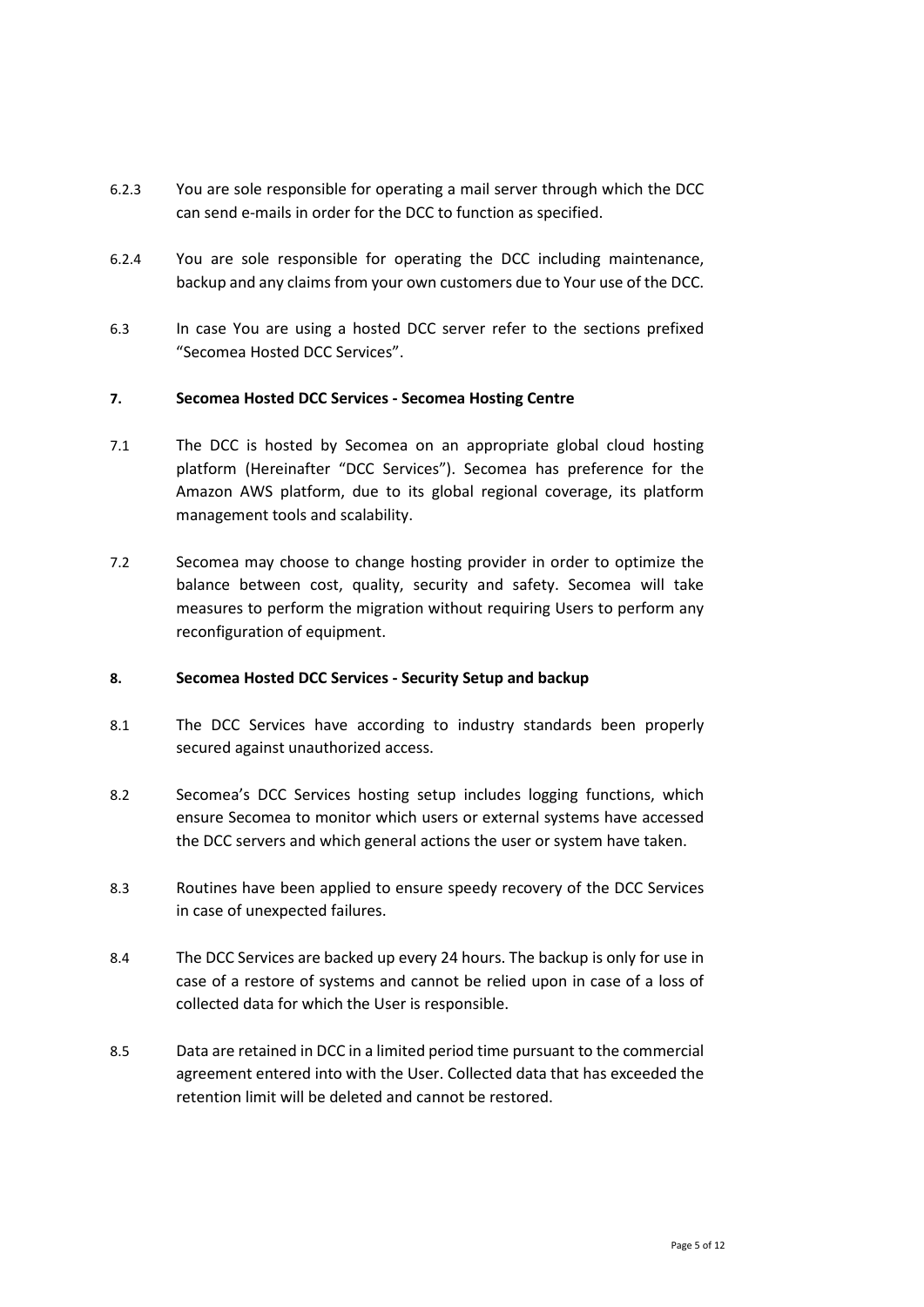- 6.2.3 You are sole responsible for operating a mail server through which the DCC can send e-mails in order for the DCC to function as specified.
- 6.2.4 You are sole responsible for operating the DCC including maintenance, backup and any claims from your own customers due to Your use of the DCC.
- 6.3 In case You are using a hosted DCC server refer to the sections prefixed "Secomea Hosted DCC Services".

## **7. Secomea Hosted DCC Services - Secomea Hosting Centre**

- 7.1 The DCC is hosted by Secomea on an appropriate global cloud hosting platform (Hereinafter "DCC Services"). Secomea has preference for the Amazon AWS platform, due to its global regional coverage, its platform management tools and scalability.
- 7.2 Secomea may choose to change hosting provider in order to optimize the balance between cost, quality, security and safety. Secomea will take measures to perform the migration without requiring Users to perform any reconfiguration of equipment.

## **8. Secomea Hosted DCC Services - Security Setup and backup**

- 8.1 The DCC Services have according to industry standards been properly secured against unauthorized access.
- 8.2 Secomea's DCC Services hosting setup includes logging functions, which ensure Secomea to monitor which users or external systems have accessed the DCC servers and which general actions the user or system have taken.
- 8.3 Routines have been applied to ensure speedy recovery of the DCC Services in case of unexpected failures.
- 8.4 The DCC Services are backed up every 24 hours. The backup is only for use in case of a restore of systems and cannot be relied upon in case of a loss of collected data for which the User is responsible.
- 8.5 Data are retained in DCC in a limited period time pursuant to the commercial agreement entered into with the User. Collected data that has exceeded the retention limit will be deleted and cannot be restored.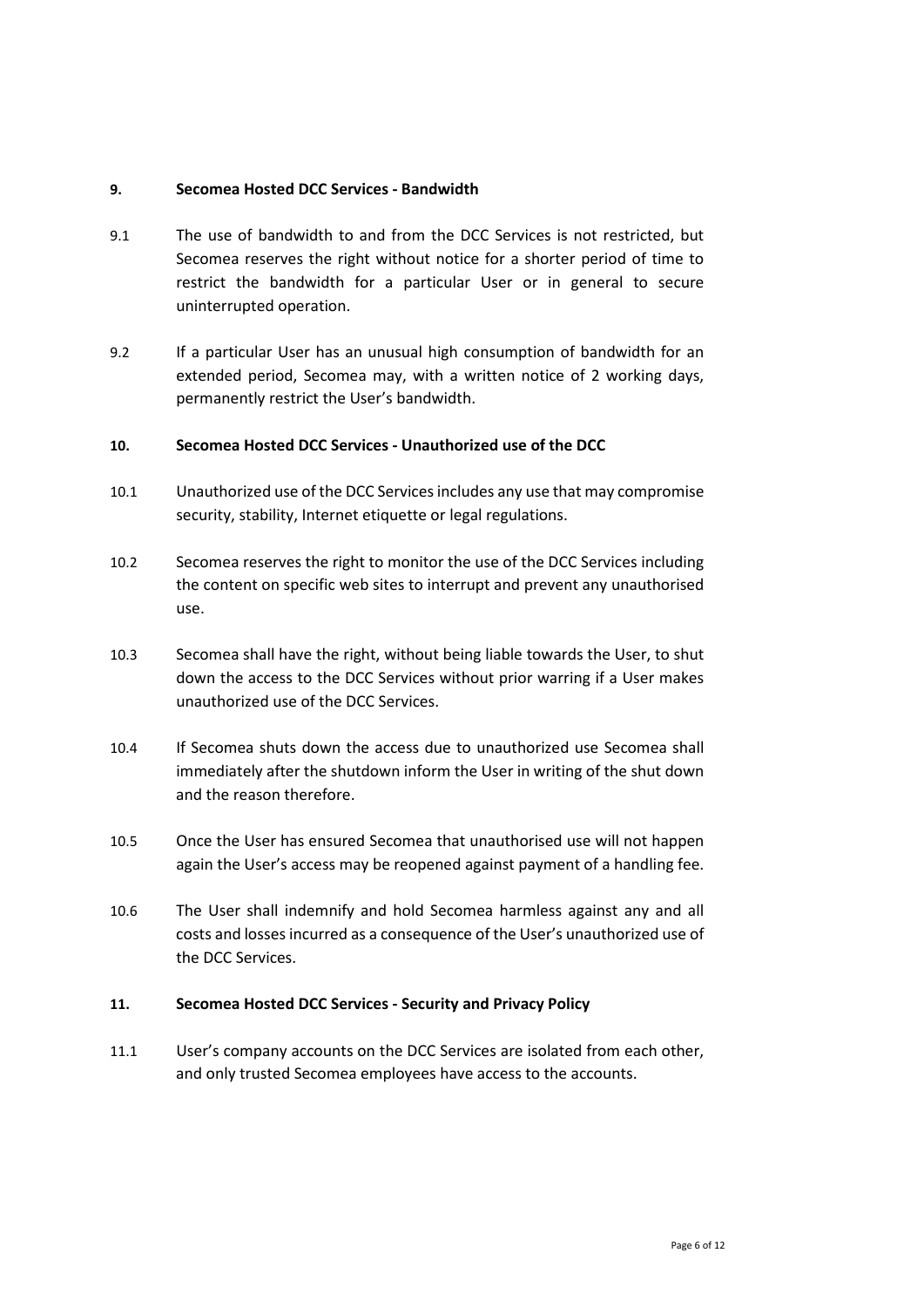## **9. Secomea Hosted DCC Services - Bandwidth**

- 9.1 The use of bandwidth to and from the DCC Services is not restricted, but Secomea reserves the right without notice for a shorter period of time to restrict the bandwidth for a particular User or in general to secure uninterrupted operation.
- 9.2 If a particular User has an unusual high consumption of bandwidth for an extended period, Secomea may, with a written notice of 2 working days, permanently restrict the User's bandwidth.

#### **10. Secomea Hosted DCC Services - Unauthorized use of the DCC**

- 10.1 Unauthorized use of the DCC Services includes any use that may compromise security, stability, Internet etiquette or legal regulations.
- 10.2 Secomea reserves the right to monitor the use of the DCC Services including the content on specific web sites to interrupt and prevent any unauthorised use.
- 10.3 Secomea shall have the right, without being liable towards the User, to shut down the access to the DCC Services without prior warring if a User makes unauthorized use of the DCC Services.
- 10.4 If Secomea shuts down the access due to unauthorized use Secomea shall immediately after the shutdown inform the User in writing of the shut down and the reason therefore.
- 10.5 Once the User has ensured Secomea that unauthorised use will not happen again the User's access may be reopened against payment of a handling fee.
- 10.6 The User shall indemnify and hold Secomea harmless against any and all costs and losses incurred as a consequence of the User's unauthorized use of the DCC Services.

#### **11. Secomea Hosted DCC Services - Security and Privacy Policy**

11.1 User's company accounts on the DCC Services are isolated from each other, and only trusted Secomea employees have access to the accounts.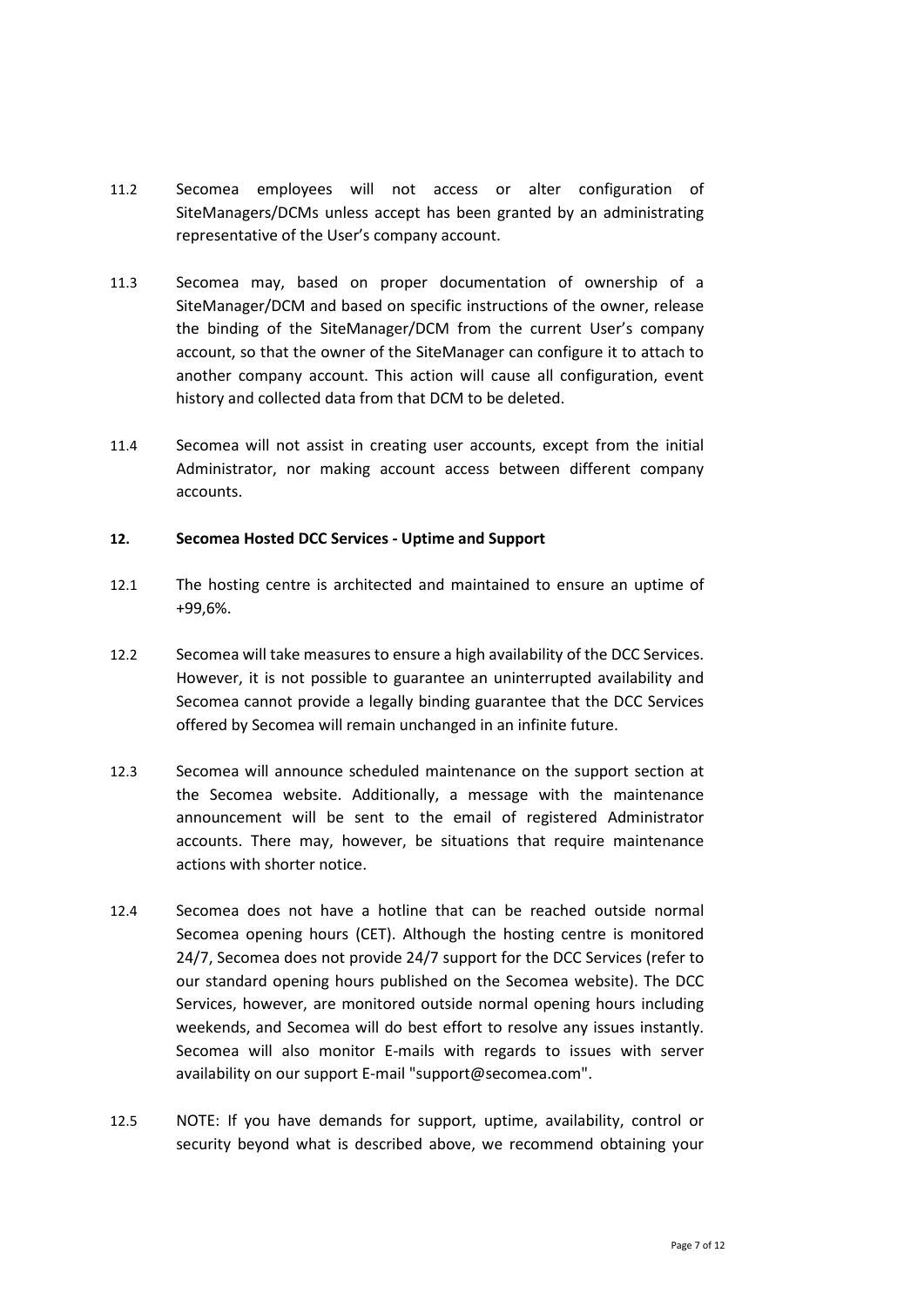- 11.2 Secomea employees will not access or alter configuration of SiteManagers/DCMs unless accept has been granted by an administrating representative of the User's company account.
- 11.3 Secomea may, based on proper documentation of ownership of a SiteManager/DCM and based on specific instructions of the owner, release the binding of the SiteManager/DCM from the current User's company account, so that the owner of the SiteManager can configure it to attach to another company account. This action will cause all configuration, event history and collected data from that DCM to be deleted.
- 11.4 Secomea will not assist in creating user accounts, except from the initial Administrator, nor making account access between different company accounts.

#### **12. Secomea Hosted DCC Services - Uptime and Support**

- 12.1 The hosting centre is architected and maintained to ensure an uptime of +99,6%.
- 12.2 Secomea will take measures to ensure a high availability of the DCC Services. However, it is not possible to guarantee an uninterrupted availability and Secomea cannot provide a legally binding guarantee that the DCC Services offered by Secomea will remain unchanged in an infinite future.
- 12.3 Secomea will announce scheduled maintenance on the support section at the Secomea website. Additionally, a message with the maintenance announcement will be sent to the email of registered Administrator accounts. There may, however, be situations that require maintenance actions with shorter notice.
- 12.4 Secomea does not have a hotline that can be reached outside normal Secomea opening hours (CET). Although the hosting centre is monitored 24/7, Secomea does not provide 24/7 support for the DCC Services (refer to our standard opening hours published on the Secomea website). The DCC Services, however, are monitored outside normal opening hours including weekends, and Secomea will do best effort to resolve any issues instantly. Secomea will also monitor E-mails with regards to issues with server availability on our support E-mail "support@secomea.com".
- 12.5 NOTE: If you have demands for support, uptime, availability, control or security beyond what is described above, we recommend obtaining your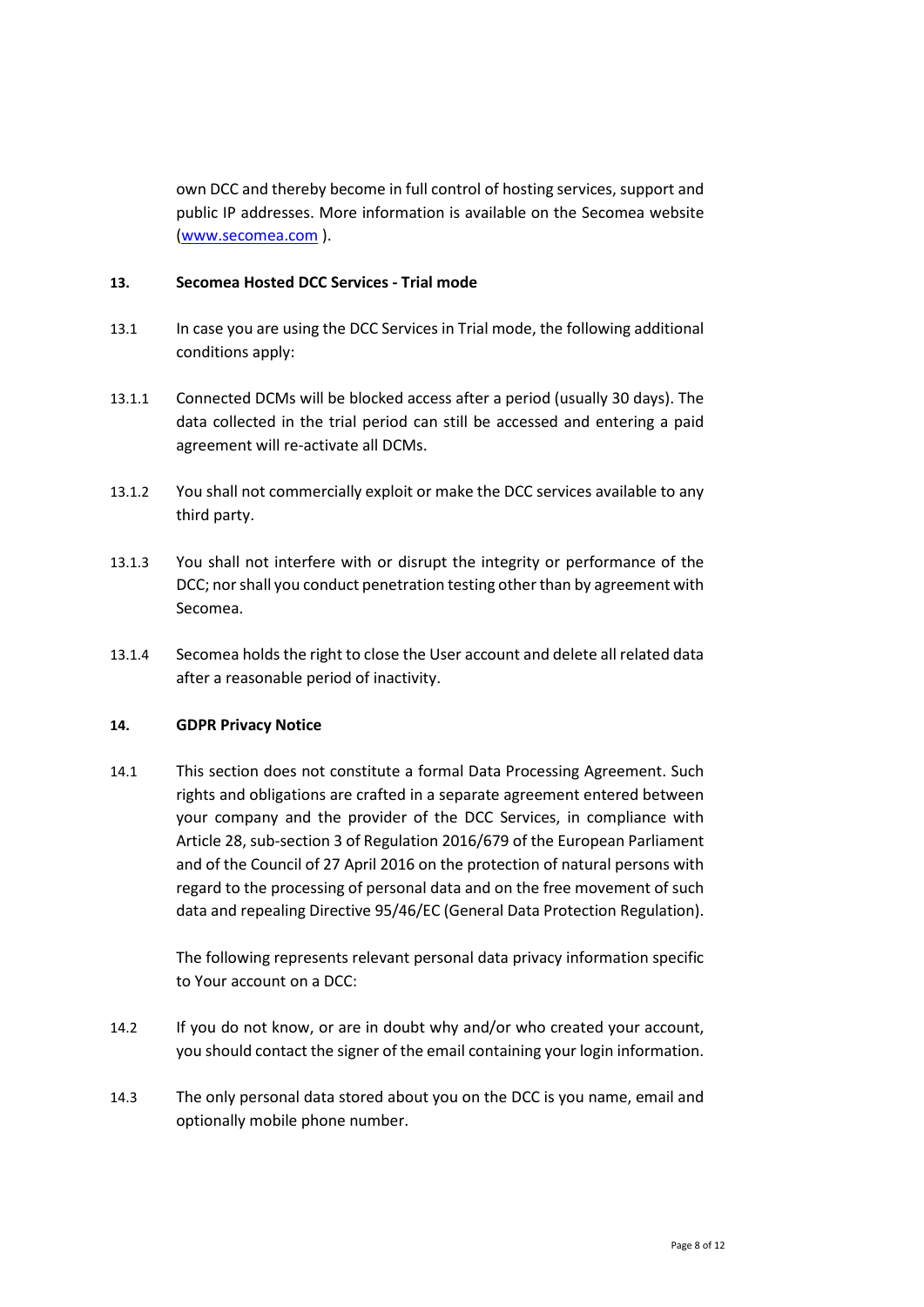own DCC and thereby become in full control of hosting services, support and public IP addresses. More information is available on the Secomea website [\(www.secomea.com](http://www.secomea.com/) ).

## **13. Secomea Hosted DCC Services - Trial mode**

- 13.1 In case you are using the DCC Services in Trial mode, the following additional conditions apply:
- 13.1.1 Connected DCMs will be blocked access after a period (usually 30 days). The data collected in the trial period can still be accessed and entering a paid agreement will re-activate all DCMs.
- 13.1.2 You shall not commercially exploit or make the DCC services available to any third party.
- 13.1.3 You shall not interfere with or disrupt the integrity or performance of the DCC; nor shall you conduct penetration testing other than by agreement with Secomea.
- 13.1.4 Secomea holds the right to close the User account and delete all related data after a reasonable period of inactivity.

## **14. GDPR Privacy Notice**

14.1 This section does not constitute a formal Data Processing Agreement. Such rights and obligations are crafted in a separate agreement entered between your company and the provider of the DCC Services, in compliance with Article 28, sub-section 3 of Regulation 2016/679 of the European Parliament and of the Council of 27 April 2016 on the protection of natural persons with regard to the processing of personal data and on the free movement of such data and repealing Directive 95/46/EC (General Data Protection Regulation).

> The following represents relevant personal data privacy information specific to Your account on a DCC:

- 14.2 If you do not know, or are in doubt why and/or who created your account, you should contact the signer of the email containing your login information.
- 14.3 The only personal data stored about you on the DCC is you name, email and optionally mobile phone number.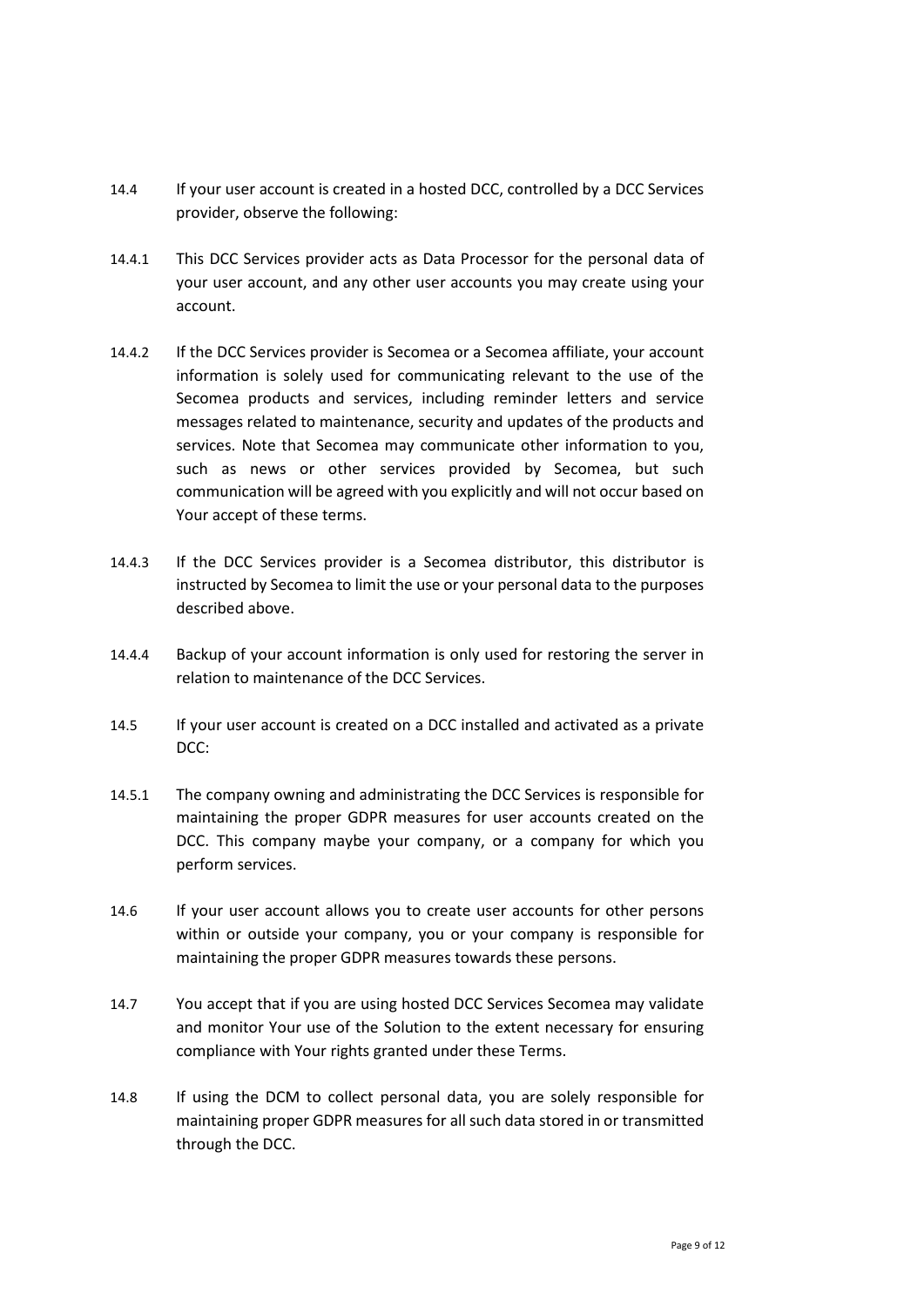- 14.4 If your user account is created in a hosted DCC, controlled by a DCC Services provider, observe the following:
- 14.4.1 This DCC Services provider acts as Data Processor for the personal data of your user account, and any other user accounts you may create using your account.
- 14.4.2 If the DCC Services provider is Secomea or a Secomea affiliate, your account information is solely used for communicating relevant to the use of the Secomea products and services, including reminder letters and service messages related to maintenance, security and updates of the products and services. Note that Secomea may communicate other information to you, such as news or other services provided by Secomea, but such communication will be agreed with you explicitly and will not occur based on Your accept of these terms.
- 14.4.3 If the DCC Services provider is a Secomea distributor, this distributor is instructed by Secomea to limit the use or your personal data to the purposes described above.
- 14.4.4 Backup of your account information is only used for restoring the server in relation to maintenance of the DCC Services.
- 14.5 If your user account is created on a DCC installed and activated as a private DCC:
- 14.5.1 The company owning and administrating the DCC Services is responsible for maintaining the proper GDPR measures for user accounts created on the DCC. This company maybe your company, or a company for which you perform services.
- 14.6 If your user account allows you to create user accounts for other persons within or outside your company, you or your company is responsible for maintaining the proper GDPR measures towards these persons.
- 14.7 You accept that if you are using hosted DCC Services Secomea may validate and monitor Your use of the Solution to the extent necessary for ensuring compliance with Your rights granted under these Terms.
- 14.8 If using the DCM to collect personal data, you are solely responsible for maintaining proper GDPR measures for all such data stored in or transmitted through the DCC.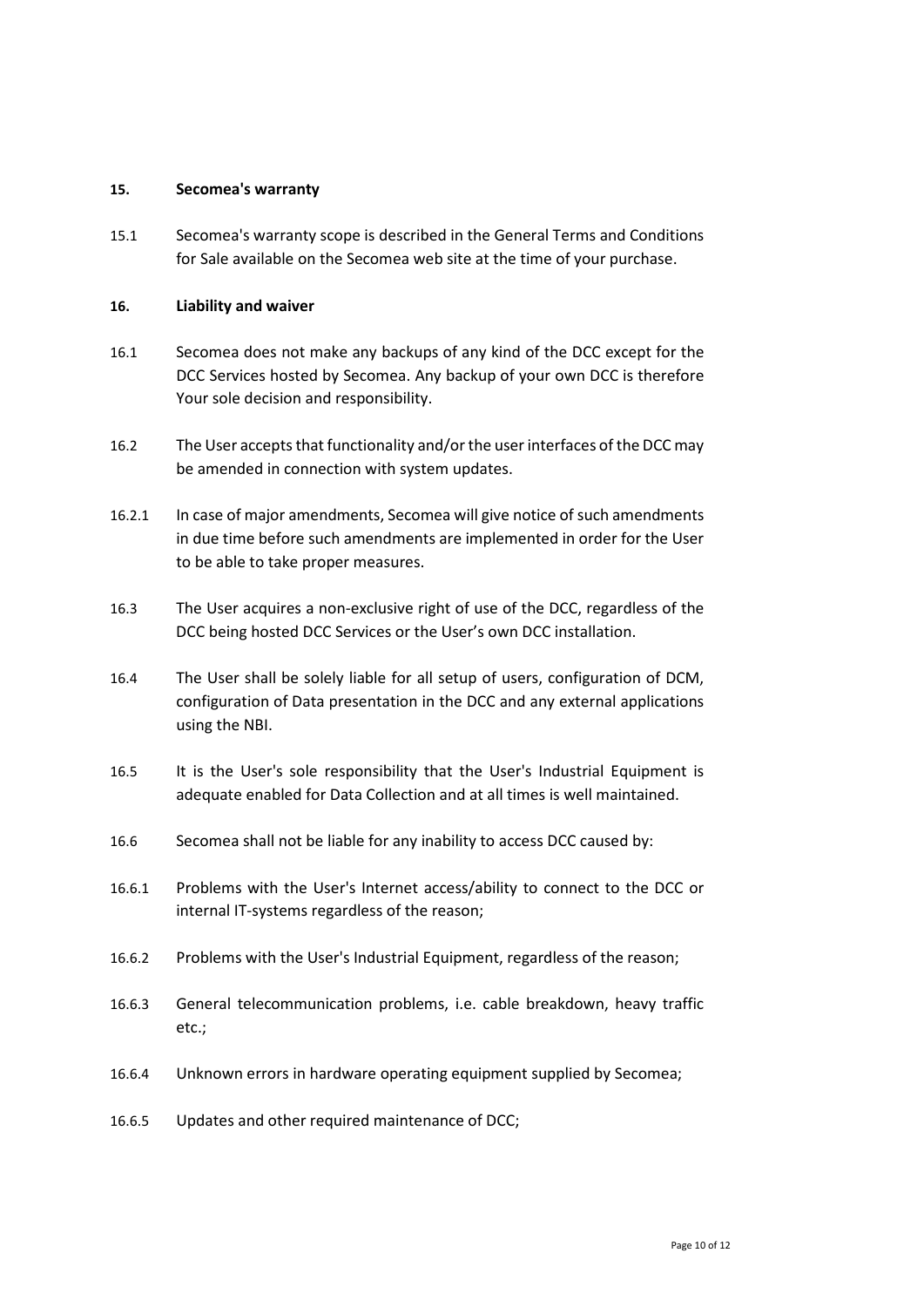#### <span id="page-9-0"></span>**15. Secomea's warranty**

15.1 Secomea's warranty scope is described in the General Terms and Conditions for Sale available on the Secomea web site at the time of your purchase.

## **16. Liability and waiver**

- 16.1 Secomea does not make any backups of any kind of the DCC except for the DCC Services hosted by Secomea. Any backup of your own DCC is therefore Your sole decision and responsibility.
- 16.2 The User accepts that functionality and/or the user interfaces of the DCC may be amended in connection with system updates.
- 16.2.1 In case of major amendments, Secomea will give notice of such amendments in due time before such amendments are implemented in order for the User to be able to take proper measures.
- 16.3 The User acquires a non-exclusive right of use of the DCC, regardless of the DCC being hosted DCC Services or the User's own DCC installation.
- 16.4 The User shall be solely liable for all setup of users, configuration of DCM, configuration of Data presentation in the DCC and any external applications using the NBI.
- 16.5 It is the User's sole responsibility that the User's Industrial Equipment is adequate enabled for Data Collection and at all times is well maintained.
- 16.6 Secomea shall not be liable for any inability to access DCC caused by:
- 16.6.1 Problems with the User's Internet access/ability to connect to the DCC or internal IT-systems regardless of the reason;
- 16.6.2 Problems with the User's Industrial Equipment, regardless of the reason;
- 16.6.3 General telecommunication problems, i.e. cable breakdown, heavy traffic etc.;
- 16.6.4 Unknown errors in hardware operating equipment supplied by Secomea;
- 16.6.5 Updates and other required maintenance of DCC;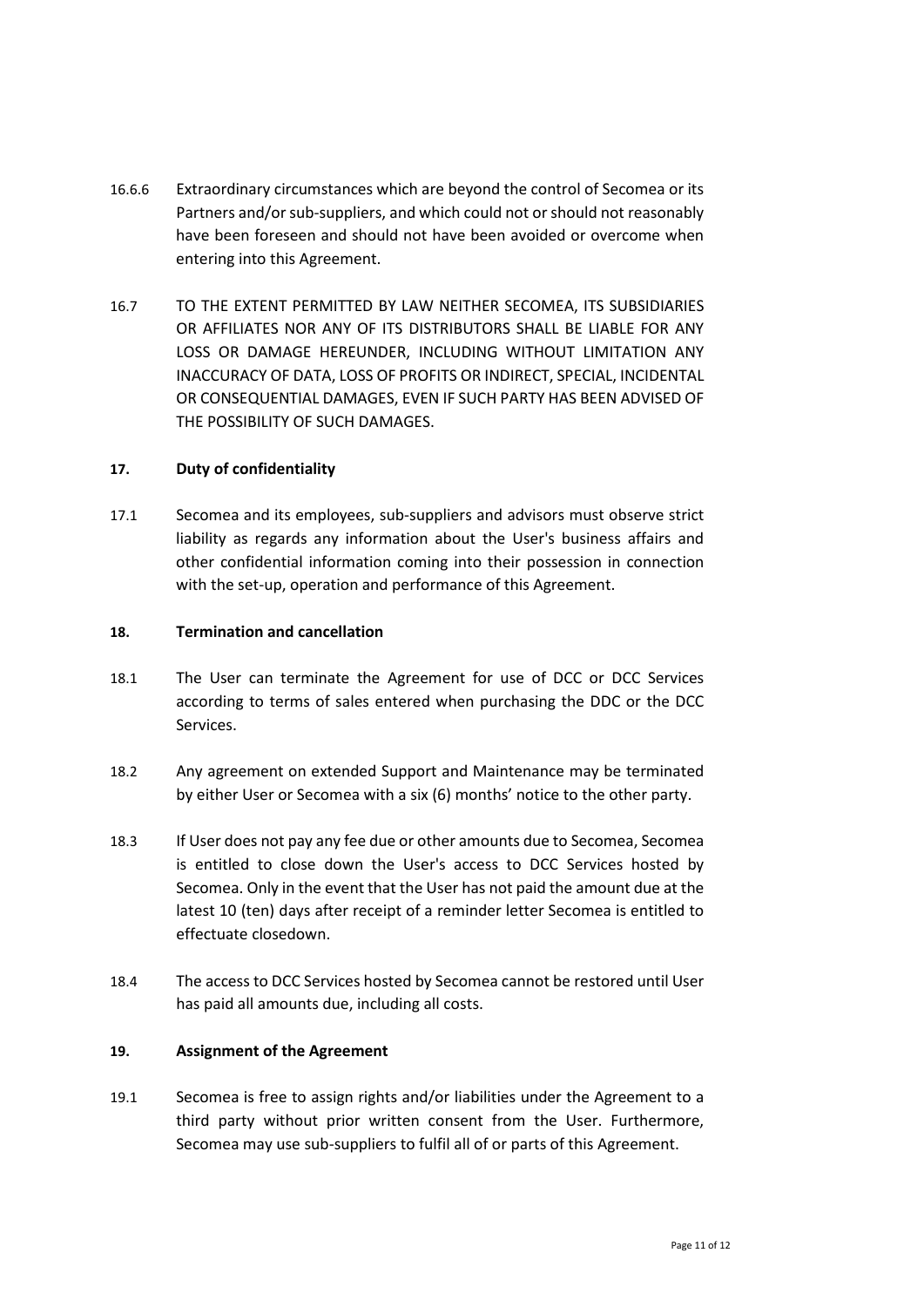- 16.6.6 Extraordinary circumstances which are beyond the control of Secomea or its Partners and/or sub-suppliers, and which could not or should not reasonably have been foreseen and should not have been avoided or overcome when entering into this Agreement.
- 16.7 TO THE EXTENT PERMITTED BY LAW NEITHER SECOMEA, ITS SUBSIDIARIES OR AFFILIATES NOR ANY OF ITS DISTRIBUTORS SHALL BE LIABLE FOR ANY LOSS OR DAMAGE HEREUNDER, INCLUDING WITHOUT LIMITATION ANY INACCURACY OF DATA, LOSS OF PROFITS OR INDIRECT, SPECIAL, INCIDENTAL OR CONSEQUENTIAL DAMAGES, EVEN IF SUCH PARTY HAS BEEN ADVISED OF THE POSSIBILITY OF SUCH DAMAGES.

## **17. Duty of confidentiality**

17.1 Secomea and its employees, sub-suppliers and advisors must observe strict liability as regards any information about the User's business affairs and other confidential information coming into their possession in connection with the set-up, operation and performance of this Agreement.

#### **18. Termination and cancellation**

- 18.1 The User can terminate the Agreement for use of DCC or DCC Services according to terms of sales entered when purchasing the DDC or the DCC Services.
- 18.2 Any agreement on extended Support and Maintenance may be terminated by either User or Secomea with a six (6) months' notice to the other party.
- 18.3 If User does not pay any fee due or other amounts due to Secomea, Secomea is entitled to close down the User's access to DCC Services hosted by Secomea. Only in the event that the User has not paid the amount due at the latest 10 (ten) days after receipt of a reminder letter Secomea is entitled to effectuate closedown.
- 18.4 The access to DCC Services hosted by Secomea cannot be restored until User has paid all amounts due, including all costs.

## **19. Assignment of the Agreement**

19.1 Secomea is free to assign rights and/or liabilities under the Agreement to a third party without prior written consent from the User. Furthermore, Secomea may use sub-suppliers to fulfil all of or parts of this Agreement.